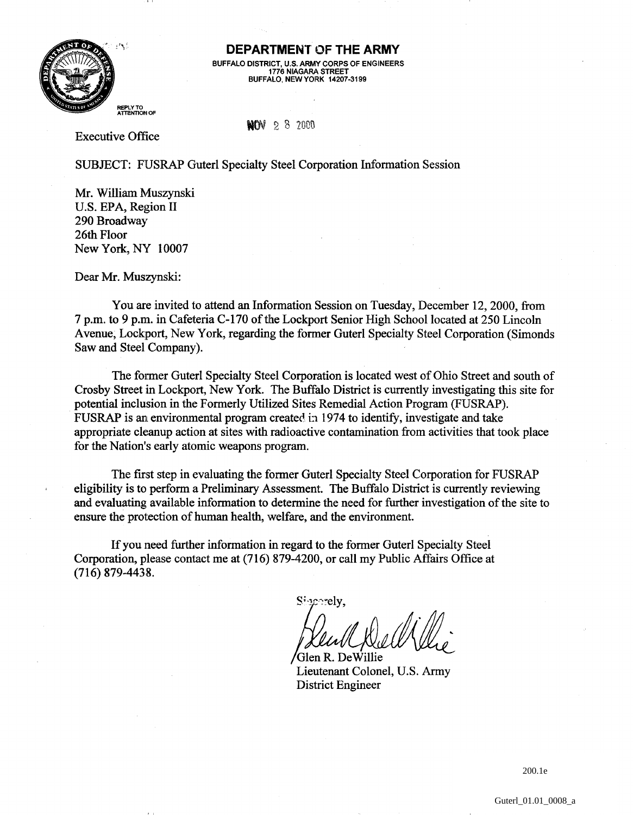

**BUFFALO DISTRICT, U.S. ARMY CORPS OF ENGINEERS 1776 NIAGARA STREET BUFFALO, NEW YORK 14207-3199**

**REPLY TO ATTENTION OF**

**NOV 2 8 2000** 

Executive Office

SUBJECT: FUSRAP Guterl Specialty Steel Corporation Information Session

Mr. William Muszynski U.S. EPA, Region II 290 Broadway 26th Floor New York, NY 10007

Dear Mr. Muszynski:

You are invited to attend an Information Session on Tuesday, December 12,2000, from 7 p.m. to 9 p.m. in Cafeteria C-170 of the Lockport Senior High School located at 250 Lincoln Avenue, Lockport, New York, regarding the former Guterl Specialty Steel Corporation (Simonds Saw and Steel Company).

The former Guterl Specialty Steel Corporation is located west of Ohio Street and south of Crosby Street in Lockport, New York. The Buffalo District is currently investigating this site for potential inclusion in the Formerly Utilized Sites Remedial Action Program (FUSRAP). FUSRAP is an environmental program created in 1974 to identify, investigate and take appropriate cleanup action at sites with radioactive contamination from activities that took place for the Nation's early atomic weapons program.

The first step in evaluating the former Guterl Specialty Steel Corporation for FUSRAP eligibility is to perform a Preliminary Assessment. The Buffalo District is currently reviewing and evaluating available information to determine the need for further investigation of the site to ensure the protection of human health, welfare, and the environment.

If you need further information in regard to the former Guterl Specialty Steel Corporation, please contact me at (716) 879-4200, or call my Public Affairs Office at (716) 879-4438.

း**c**းely.

Glen R. DeWillie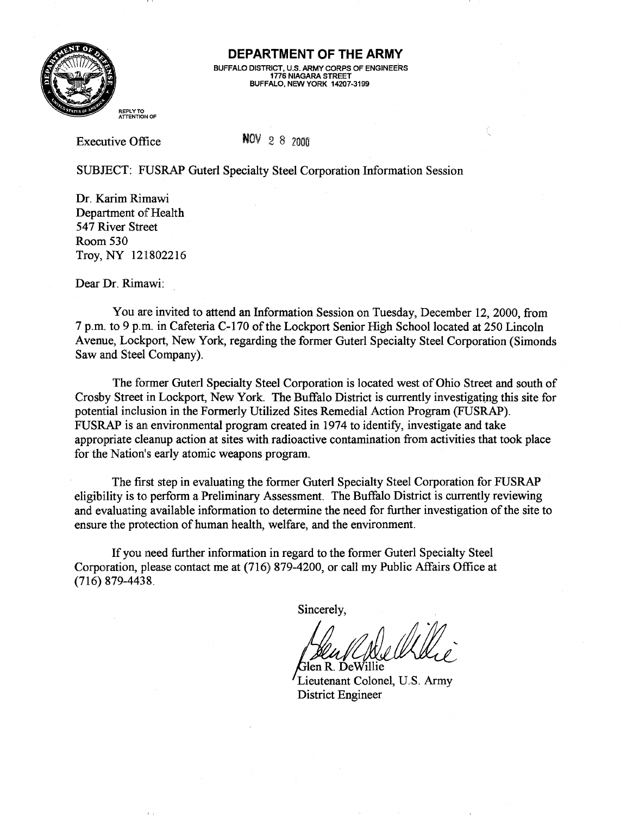

**BUFFALO DISTRICT, U.S. ARMY CORPS OF ENGINEERS 1776 NIAGARA STREET BUFFALO, NEW YORK 14207-3199**

Executive Office NOV 2 8 2000

SUBJECT: FUSRAP Guterl Specialty Steel Corporation Information Session

Dr. Karim Rimawi Department of Health 547 River Street Room 530 Troy, NY 121802216

Dear Dr. Rimawi:

You are invited to attend an Information Session on Tuesday, December 12, 2000, from 7 p.m. to 9 p.m. in Cafeteria C-170 of the Lockport Senior High School located at 250 Lincoln Avenue, Lockport, New York, regarding the former Guterl Specialty Steel Corporation (Simonds Saw and Steel Company).

The former Guterl Specialty Steel Corporation is located west of Ohio Street and south of Crosby Street in Lockport, New York. The Buffalo District is currently investigating this site for potential inclusion in the Formerly Utilized Sites Remedial Action Program (FUSRAP). FUSRAP is an environmental program created in 1974 to identify, investigate and take appropriate cleanup action at sites with radioactive contamination from activities that took place for the Nation's early atomic weapons program.

The first step in evaluating the former Guterl Specialty Steel Corporation for FUSRAP eligibility is to perform a Preliminary Assessment. The Buffalo District is currently reviewing and evaluating available information to determine the need for further investigation of the site to ensure the protection of human health, welfare, and the environment.

If you need further information in regard to the former Guterl Specialty Steel Corporation, please contact me at (716) 879-4200, or call my Public Affairs Office at (716) 879-4438.

Hen R. DeWillie

'Lieutenant Colonel, U.S. Army District Engineer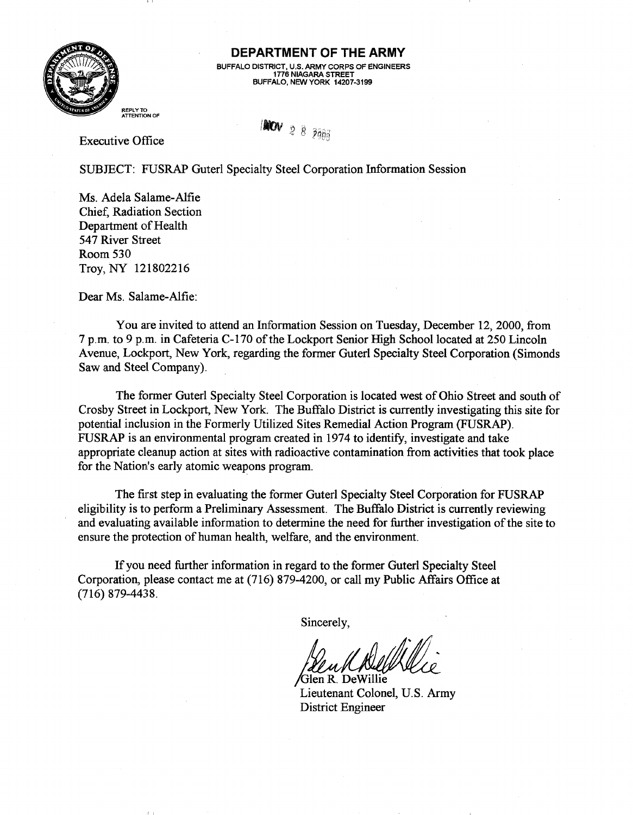**BUFFALO DISTRICT, U.S. ARMY CORPS OF ENGINEERS 1776 NIAGARA STREET BUFFALO, NEW YORK 14207-3199**

**REPLY TO ATTENTION OF**

# **Alov** 2 8 2006

Executive Office *"""•'*

SUBJECT: FUSRAP Guterl Specialty Steel Corporation Information Session

Ms. Adela Salame-Alfie Chief, Radiation Section Department of Health 547 River Street Room 530 Troy, NY 121802216

Dear Ms. Salame-Alfie:

You are invited to attend an Information Session on Tuesday, December 12, 2000, from 7 p.m. to 9 p.m. in Cafeteria C-170 of the Lockport Senior High School located at 250 Lincoln Avenue, Lockport, New York, regarding the former Guterl Specialty Steel Corporation (Simonds Saw and Steel Company).

The former Guterl Specialty Steel Corporation is located west of Ohio Street and south of Crosby Street in Lockport, New York. The Buffalo District is currently investigating this site for potential inclusion in the Formerly Utilized Sites Remedial Action Program (FUSRAP). FUSRAP is an environmental program created in 1974 to identify, investigate and take appropriate cleanup action at sites with radioactive contamination from activities that took place for the Nation's early atomic weapons program.

The first step in evaluating the former Guterl Specialty Steel Corporation for FUSRAP eligibility is to perform a Preliminary Assessment. The Buffalo District is currently reviewing and evaluating available information to determine the need for further investigation of the site to ensure the protection of human health, welfare, and the environment.

If you need further information in regard to the former Guterl Specialty Steel Corporation, please contact me at (716) 879-4200, or call my Public Affairs Office at (716) 879-4438.

Sincerely,

Glen R. DeWillie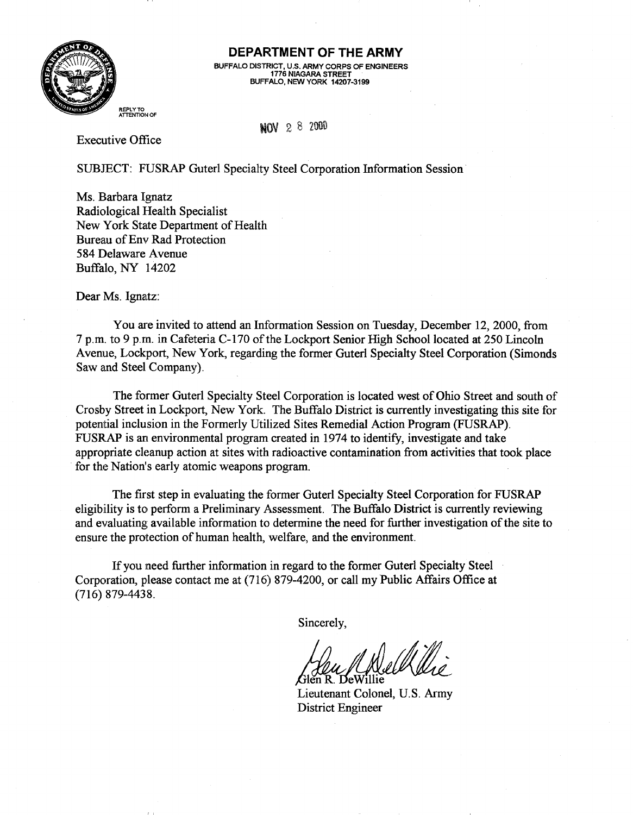

**BUFFALO DISTRICT, U.S. ARMY CORPS OF ENGINEERS 1776 NIAGARA STREET BUFFALO, NEW YORK 14207-3199**

**REPLY TO ATTENTION OF**

MOV 2 8 2008

Executive Office

SUBJECT: FUSRAP Guterl Specialty Steel Corporation Information Session

Ms. Barbara Ignatz Radiological Health Specialist New York State Department of Health Bureau of Env Rad Protection 584 Delaware Avenue Buffalo, NY 14202

Dear Ms. Ignatz:

You are invited to attend an Information Session on Tuesday, December 12, 2000, from 7 p.m. to 9 p.m. in Cafeteria C-170 of the Lockport Senior High School located at 250 Lincoln Avenue, Lockport, New York, regarding the former Guterl Specialty Steel Corporation (Simonds Saw and Steel Company).

The former Guterl Specialty Steel Corporation is located west of Ohio Street and south of Crosby Street in Lockport, New York. The Buffalo District is currently investigating this site for potential inclusion in the Formerly Utilized Sites Remedial Action Program (FUSRAP). FUSRAP is an environmental program created in 1974 to identify, investigate and take appropriate cleanup action at sites with radioactive contamination from activities that took place for the Nation's early atomic weapons program.

The first step in evaluating the former Guterl Specialty Steel Corporation for FUSRAP eligibility is to perform a Preliminary Assessment. The Buffalo District is currently reviewing and evaluating available information to determine the need for further investigation of the site to ensure the protection of human health, welfare, and the environment.

If you need further information in regard to the former Guterl Specialty Steel Corporation, please contact me at (716) 879-4200, or call my Public Affairs Office at (716) 879-4438.

ilen R. DeWillie

Lieutenant Colonel, U.S. Army District Engineer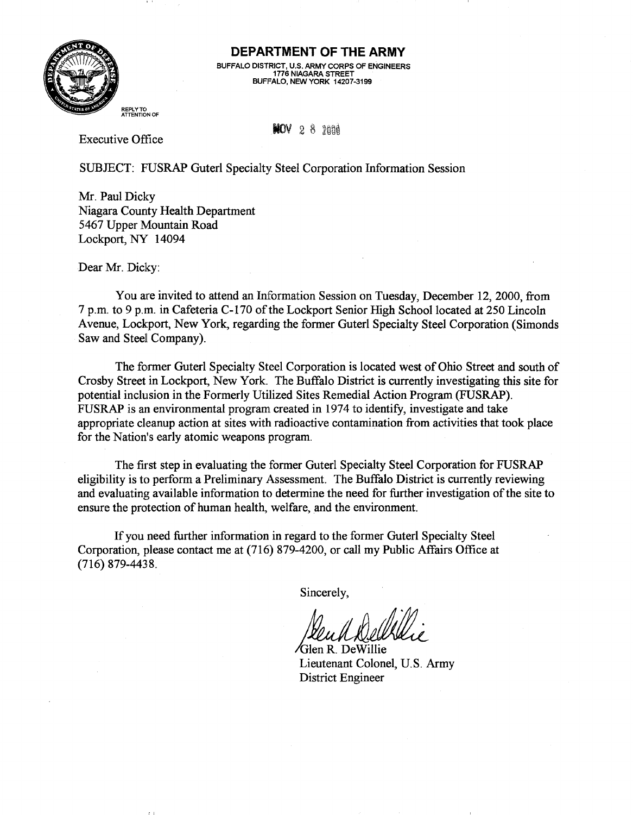

**BUFFALO DISTRICT, U.S. ARMY CORPS OF ENGINEERS 1776 NIAGARA STREET BUFFALO, NEW YORK 14207-3199**

**REPLY TO ATTENTION OF**

 $NOV$  2 8 2000

Executive Office

SUBJECT: FUSRAP Guterl Specialty Steel Corporation Information Session

Mr. Paul Dicky Niagara County Health Department 5467 Upper Mountain Road Lockport, NY 14094

 $\Gamma$  1

Dear Mr. Dicky:

You are invited to attend an Information Session on Tuesday, December 12, 2000, from 7 p.m. to 9 p.m. in Cafeteria C-170 of the Lockport Senior High School located at 250 Lincoln Avenue, Lockport, New York, regarding the former Guterl Specialty Steel Corporation (Simonds Saw and Steel Company).

The former Guterl Specialty Steel Corporation is located west of Ohio Street and south of Crosby Street in Lockport, New York. The Buffalo District is currently investigating this site for potential inclusion in the Formerly Utilized Sites Remedial Action Program (FUSRAP). FUSRAP is an environmental program created in 1974 to identify, investigate and take appropriate cleanup action at sites with radioactive contamination from activities that took place for the Nation's early atomic weapons program.

The first step in evaluating the former Guterl Specialty Steel Corporation for FUSRAP eligibility is to perform a Preliminary Assessment. The Buffalo District is currently reviewing and evaluating available information to determine the need for further investigation of the site to ensure the protection of human health, welfare, and the environment.

If you need further information in regard to the former Guterl Specialty Steel Corporation, please contact me at (716) 879-4200, or call my Public Affairs Office at (716) 879-4438.

/GlenR. DeWillie Lieutenant Colonel, U.S. Army District Engineer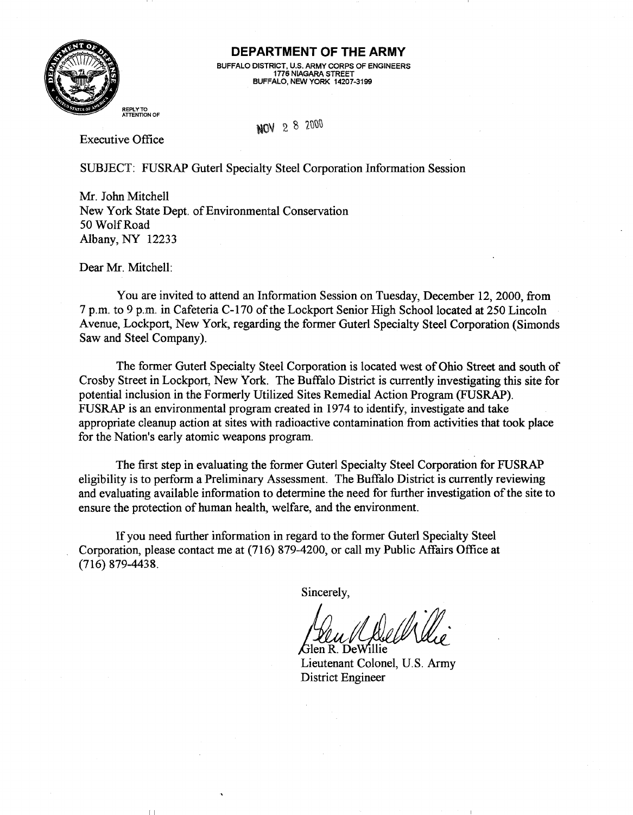

**BUFFALO DISTRICT, U.S. ARMY CORPS OF ENGINEERS 1776 NIAGARA STREET BUFFALO, NEW YORK 14207-3199**

**ATTENTION OF**

## **NOV** 2 8 2000

Executive Office

SUBJECT: FUSRAP Guterl Specialty Steel Corporation Information Session

Mr. John Mitchell New York State Dept. of Environmental Conservation 50 Wolf Road Albany, NY 12233

Dear Mr. Mitchell:

You are invited to attend an Information Session on Tuesday, December 12, 2000, from 7 p.m. to 9 p.m. in Cafeteria C-170 of the Lockport Senior High School located at 250 Lincoln Avenue, Lockport, New York, regarding the former Guterl Specialty Steel Corporation (Simonds Saw and Steel Company).

The former Guterl Specialty Steel Corporation is located west of Ohio Street and south of Crosby Street in Lockport, New York. The Buffalo District is currently investigating this site for potential inclusion in the Formerly Utilized Sites Remedial Action Program (FUSRAP). FUSRAP is an environmental program created in 1974 to identify, investigate and take appropriate cleanup action at sites with radioactive contamination from activities that took place for the Nation's early atomic weapons program.

The first step in evaluating the former Guterl Specialty Steel Corporation for FUSRAP eligibility is to perform a Preliminary Assessment. The Buffalo District is currently reviewing and evaluating available information to determine the need for further investigation of the site to ensure the protection of human health, welfare, and the environment.

If you need further information in regard to the former Guterl Specialty Steel Corporation, please contact me at (716) 879-4200, or call my Public Affairs Office at (716) 879-4438.

Sincerely,

Glen R. DeWillie Lieutenant Colonel, U.S. Army District Engineer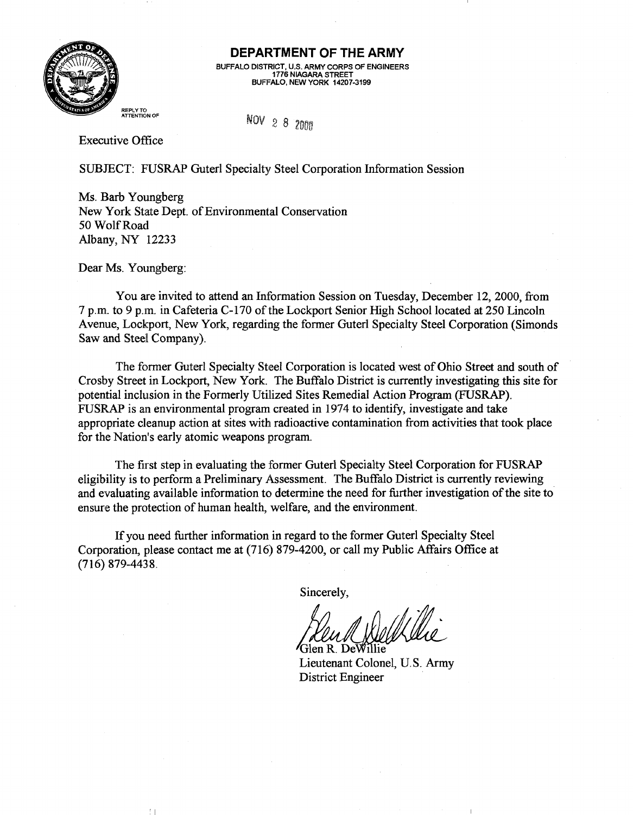

**BUFFALO DISTRICT, U.S. ARMY CORPS OF ENGINEERS 1776 NIAGARA STREET BUFFALO, NEW YORK 14207-3199**

**REPLY TO ATTENTION OF**

NOV 2 8 2000

Executive Office

SUBJECT: FUSRAP Guterl Specialty Steel Corporation Information Session

Ms. Barb Youngberg New York State Dept. of Environmental Conservation 50 Wolf Road Albany, NY 12233

Dear Ms. Youngberg:

You are invited to attend an Information Session on Tuesday, December 12, 2000, from 7 p.m. to 9 p.m. in Cafeteria C-170 of the Lockport Senior High School located at 250 Lincoln Avenue, Lockport, New York, regarding the former Guterl Specialty Steel Corporation (Simonds Saw and Steel Company).

The former Guterl Specialty Steel Corporation is located west of Ohio Street and south of Crosby Street in Lockport, New York. The Buffalo District is currently investigating this site for potential inclusion in the Formerly Utilized Sites Remedial Action Program (FUSRAP). FUSRAP is an environmental program created in 1974 to identify, investigate and take appropriate cleanup action at sites with radioactive contamination from activities that took place for the Nation's early atomic weapons program.

The first step in evaluating the former Guterl Specialty Steel Corporation for FUSRAP eligibility is to perform a Preliminary Assessment. The Buffalo District is currently reviewing and evaluating available information to determine the need for further investigation of the site to ensure the protection of human health, welfare, and the environment.

If you need further information in regard to the former Guterl Specialty Steel Corporation, please contact me at (716) 879-4200, or call my Public Affairs Office at (716) 879-4438.

Sincerely,

Glen R DeWillie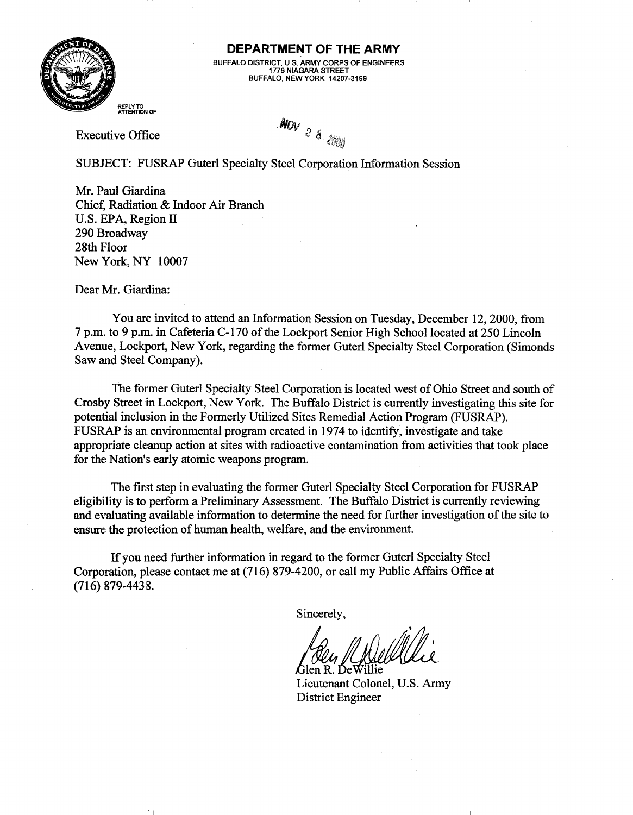

BUFFALO DISTRICT, U.S. ARMY CORPS OF ENGINEERS 1776 NIAGARA STREET BUFFALO, NEW YORK 14207-3199

 $\sim$ 09 $\mu$ 

**REPLY TO ATTENTION OF**

Executive Office  $\mathcal{E} \otimes \mathcal{E}$ 

SUBJECT: FUSRAP Guterl Specialty Steel Corporation Information Session

Mr. Paul Giardina Chief, Radiation & Indoor Air Branch U.S. EPA, Region II 290 Broadway 28th Floor New York, NY 10007

Dear Mr. Giardina:

 $\Box$ 

You are invited to attend an Information Session on Tuesday, December 12,2000, from 7 p.m. to 9 p.m. in Cafeteria C-170 of the Lockport Senior High School located at 250 Lincoln Avenue, Lockport, New York, regarding the former Guterl Specialty Steel Corporation (Simonds Saw and Steel Company).

The former Guterl Specialty Steel Corporation is located west of Ohio Street and south of Crosby Street in Lockport, New York. The Buffalo District is currently investigating this site for potential inclusion in the Formerly Utilized Sites Remedial Action Program (FUSRAP). FUSRAP is an environmental program created in 1974 to identify, investigate and take appropriate cleanup action at sites with radioactive contamination from activities that took place for the Nation's early atomic weapons program.

The first step in evaluating the former Guterl Specialty Steel Corporation for FUSRAP eligibility is to perform a Preliminary Assessment. The Buffalo District is currently reviewing and evaluating available information to determine the need for further investigation of the site to ensure the protection of human health, welfare, and the environment.

If you need further information in regard to the former Guterl Specialty Steel Corporation, please contact me at (716) 879-4200, or call my Public Affairs Office at (716) 879-4438.

Sincerely,

Glen R. DeWillie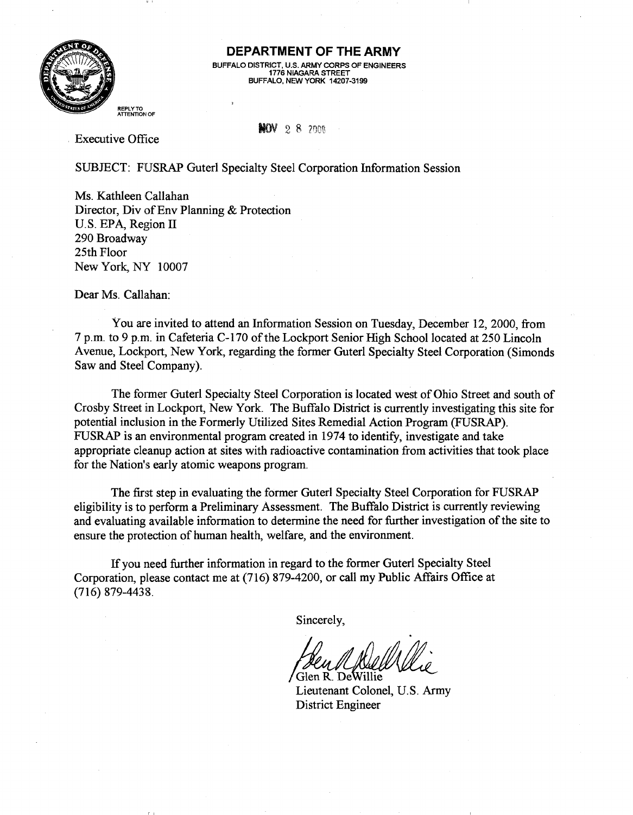

**BUFFALO DISTRICT, U.S. ARMY CORPS OF ENGINEERS 1776 NIAGARA STREET BUFFALO, NEW YORK 14207-3199**

**REPLY TO ATTENTION OF**

2 8 *2m*

Executive Office

SUBJECT: FUSRAP Guterl Specialty Steel Corporation Information Session

Ms. Kathleen Callahan Director, Div of Env Planning & Protection U.S. EPA, Region II 290 Broadway 25th Floor New York, NY 10007

Dear Ms. Callahan:

You are invited to attend an Information Session on Tuesday, December 12, 2000, from 7 p.m. to 9 p.m. in Cafeteria C-170 of the Lockport Senior High School located at 250 Lincoln Avenue, Lockport, New York, regarding the former Guterl Specialty Steel Corporation (Simonds Saw and Steel Company).

The former Guterl Specialty Steel Corporation is located west of Ohio Street and south of Crosby Street in Lockport, New York. The Buffalo District is currently investigating this site for potential inclusion in the Formerly Utilized Sites Remedial Action Program (FUSRAP). FUSRAP is an environmental program created in 1974 to identify, investigate and take appropriate cleanup action at sites with radioactive contamination from activities that took place for the Nation's early atomic weapons program.

The first step in evaluating the former Guterl Specialty Steel Corporation for FUSRAP eligibility is to perform a Preliminary Assessment. The Buffalo District is currently reviewing and evaluating available information to determine the need for further investigation of the site to ensure the protection of human health, welfare, and the environment.

If you need further information in regard to the former Guterl Specialty Steel Corporation, please contact me at (716) 879-4200, or call my Public Affairs Office at (716) 879-4438.

Glen R. De Willie

Lieutenant Colonel, U.S. Army District Engineer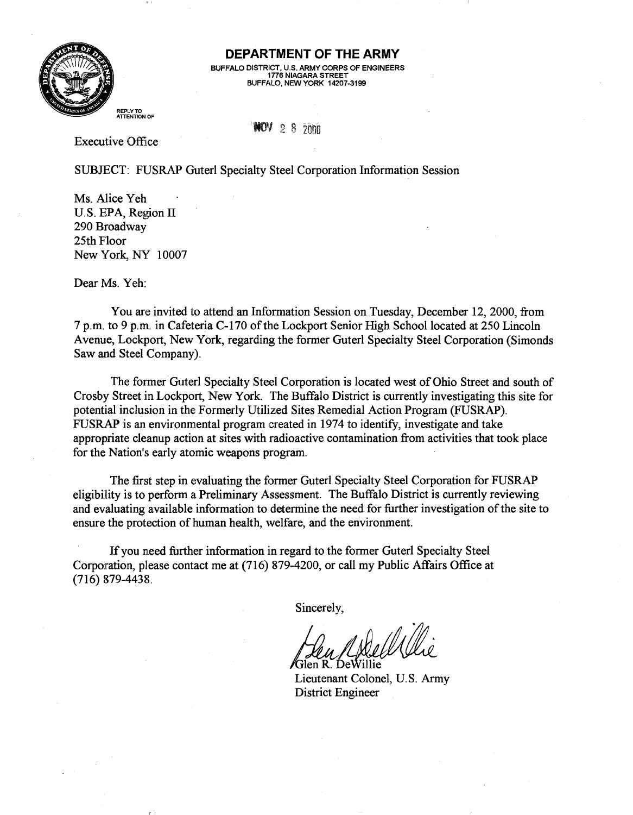

**BUFFALO DISTRICT, U.S. ARMY CORPS OF ENGINEERS 1776 NIAGARA STREET BUFFALO, NEW YORK 14207-3199**

**REPLY TO ATTENTION OF**

**NOV** 2 8 2000

Executive Office

SUBJECT: FUSRAP Guterl Specialty Steel Corporation Information Session

Ms. Alice Yeh U.S. EPA, Region II 290 Broadway 25th Floor New York, NY 10007

Dear Ms. Yeh:

You are invited to attend an Information Session on Tuesday, December 12, 2000, from 7 p.m. to 9 p.m. in Cafeteria C-170 of the Lockport Senior High School located at 250 Lincoln Avenue, Lockport, New York, regarding the former Guterl Specialty Steel Corporation (Simonds Saw and Steel Company).

The former Guterl Specialty Steel Corporation is located west of Ohio Street and south of Crosby Street in Lockport, New York. The Buffalo District is currently investigating this site for potential inclusion in the Formerly Utilized Sites Remedial Action Program (FUSRAP). FUSRAP is an environmental program created in 1974 to identify, investigate and take appropriate cleanup action at sites with radioactive contamination from activities that took place for the Nation's early atomic weapons program.

The first step in evaluating the former Guterl Specialty Steel Corporation for FUSRAP eligibility is to perform a Preliminary Assessment. The Buffalo District is currently reviewing and evaluating available information to determine the need for further investigation of the site to ensure the protection of human health, welfare, and the environment.

If you need further information in regard to the former Guterl Specialty Steel Corporation, please contact me at (716) 879-4200, or call my Public Affairs Office at (716) 879-4438.

Sincerely,

<sup>/</sup>illie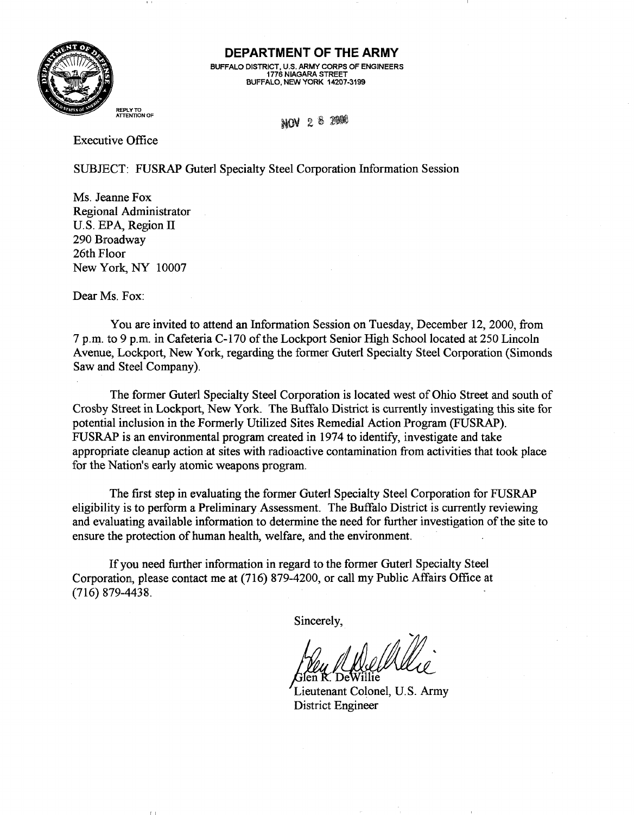

**BUFFALO DISTRICT, U.S. ARMY CORPS OF ENGINEERS 1776 NIAGARA STREET BUFFALO, NEW YORK 14207-3199**

**REPLY TO ATTENTION OF**

**NOV 2 8 2000** 

Executive Office

SUBJECT: FUSRAP Guterl Specialty Steel Corporation Information Session

Ms. Jeanne Fox Regional Administrator U.S. EPA, Region II 290 Broadway 26th Floor New York, NY 10007

Dear Ms. Fox:

You are invited to attend an Information Session on Tuesday, December 12, 2000, from 7 p.m. to 9 p.m. in Cafeteria C-170 of the Lockport Senior High School located at 250 Lincoln Avenue, Lockport, New York, regarding the former Guterl Specialty Steel Corporation (Simonds Saw and Steel Company).

The former Guterl Specialty Steel Corporation is located west of Ohio Street and south of Crosby Street in Lockport, New York. The Buffalo District is currently investigating this site for potential inclusion in the Formerly Utilized Sites Remedial Action Program (FUSRAP). FUSRAP is an environmental program created in 1974 to identify, investigate and take appropriate cleanup action at sites with radioactive contamination from activities that took place for the Nation's early atomic weapons program.

The first step in evaluating the former Guterl Specialty Steel Corporation for FUSRAP eligibility is to perform a Preliminary Assessment. The Buffalo District is currently reviewing and evaluating available information to determine the need for further investigation of the site to ensure the protection of human health, welfare, and the environment.

If you need further information in regard to the former Guterl Specialty Steel Corporation, please contact me at (716) 879-4200, or call my Public Affairs Office at (716) 879-4438.

Lieutenant Colonel, U.S. Army District Engineer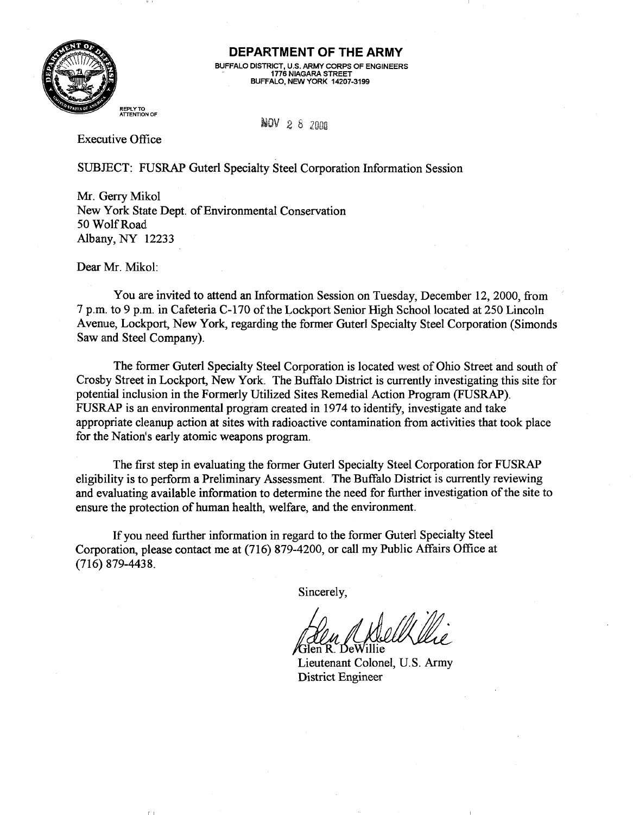

**BUFFALO DISTRICT, U.S. ARMY CORPS OF ENGINEERS 1776 NIAGARA STREET BUFFALO, NEW YORK 14207-3199**

**REPLY TO ATTENTION OF**

*NOV* 2 8 2000

Executive Office

SUBJECT: FUSRAP Guterl Specialty Steel Corporation Information Session

Mr. Gerry Mikol New York State Dept. of Environmental Conservation 50 Wolf Road Albany, NY 12233

Dear Mr. Mikol:

r.

You are invited to attend an Information Session on Tuesday, December 12, 2000, from 7 p.m. to 9 p.m. in Cafeteria C-170 of the Lockport Senior High School located at 250 Lincoln Avenue, Lockport, New York, regarding the former Guterl Specialty Steel Corporation (Simonds Saw and Steel Company).

The former Guterl Specialty Steel Corporation is located west of Ohio Street and south of Crosby Street in Lockport, New York. The Buffalo District is currently investigating this site for potential inclusion in the Formerly Utilized Sites Remedial Action Program (FUSRAP). FUSRAP is an environmental program created in 1974 to identify, investigate and take appropriate cleanup action at sites with radioactive contamination from activities that took place for the Nation's early atomic weapons program.

The first step in evaluating the former Guterl Specialty Steel Corporation for FUSRAP eligibility is to perform a Preliminary Assessment. The Buffalo District is currently reviewing and evaluating available information to determine the need for further investigation of the site to ensure the protection of human health, welfare, and the environment.

If you need further information in regard to the former Guterl Specialty Steel Corporation, please contact me at (716) 879-4200, or call my Public Affairs Office at (716) 879-4438.

Sincerely,

Hen R. DeWillie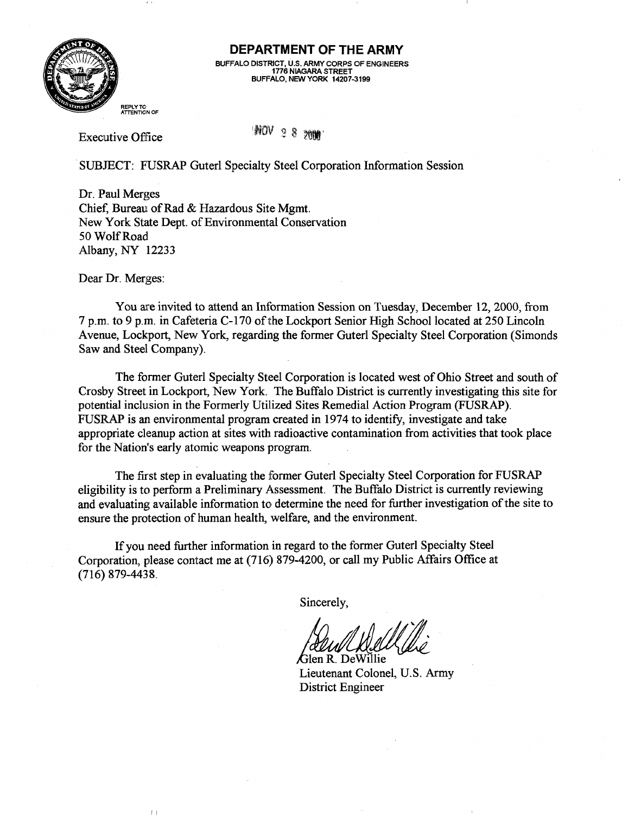

**BUFFALO DISTRICT, U.S. ARMY CORPS OF ENGINEERS 1776 NIAGARA STREET BUFFALO, NEW YORK 14207-3199**

**REPLY TO ATTENTION OF**

Executive Office

**NOV 2 8 2000** 

SUBJECT: FUSRAP Guterl Specialty Steel Corporation Information Session

Dr. Paul Merges Chief, Bureau of Rad & Hazardous Site Mgmt. New York State Dept. of Environmental Conservation 50 Wolf Road Albany, NY 12233

Dear Dr. Merges:

You are invited to attend an Information Session on Tuesday, December 12, 2000, from 7 p.m. to 9 p.m. in Cafeteria C-170 of the Lockport Senior High School located at 250 Lincoln Avenue, Lockport, New York, regarding the former Guterl Specialty Steel Corporation (Simonds Saw and Steel Company).

The former Guterl Specialty Steel Corporation is located west of Ohio Street and south of Crosby Street in Lockport, New York. The Buffalo District is currently investigating this site for potential inclusion in the Formerly Utilized Sites Remedial Action Program (FUSRAP). FUSRAP is an environmental program created in 1974 to identify, investigate and take appropriate cleanup action at sites with radioactive contamination from activities that took place for the Nation's early atomic weapons program.

The first step in evaluating the former Guterl Specialty Steel Corporation for FUSRAP eligibility is to perform a Preliminary Assessment. The Buffalo District is currently reviewing and evaluating available information to determine the need for further investigation of the site to ensure the protection of human health, welfare, and the environment.

If you need further information in regard to the former Guterl Specialty Steel Corporation, please contact me at (716) 879-4200, or call my Public Affairs Office at (716) 879-4438.

 $k$ Glen R. DeWillie

Lieutenant Colonel, U.S. Army District Engineer